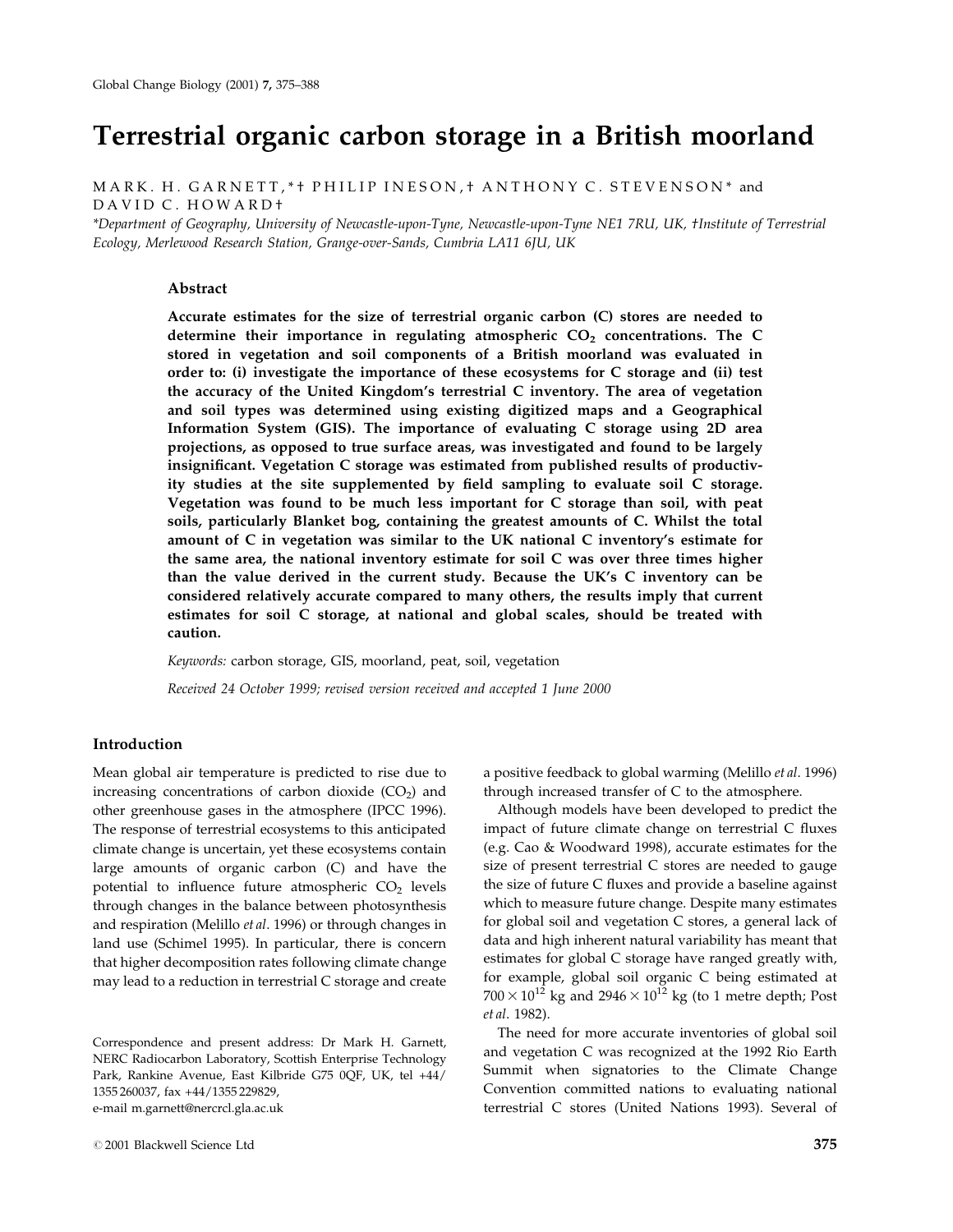# Terrestrial organic carbon storage in a British moorland

MARK. H. GARNETT, \* † PHILIP INESON, † ANTHONY C. STEVENSON\* and DAVID C. HOWARD²

\*Department of Geography, University of Newcastle-upon-Tyne, Newcastle-upon-Tyne NE1 7RU, UK, †Institute of Terrestrial Ecology, Merlewood Research Station, Grange-over-Sands, Cumbria LA11 6JU, UK

# Abstract

Accurate estimates for the size of terrestrial organic carbon (C) stores are needed to determine their importance in regulating atmospheric  $CO<sub>2</sub>$  concentrations. The C stored in vegetation and soil components of a British moorland was evaluated in order to: (i) investigate the importance of these ecosystems for C storage and (ii) test the accuracy of the United Kingdom's terrestrial C inventory. The area of vegetation and soil types was determined using existing digitized maps and a Geographical Information System (GIS). The importance of evaluating C storage using 2D area projections, as opposed to true surface areas, was investigated and found to be largely insignificant. Vegetation C storage was estimated from published results of productivity studies at the site supplemented by field sampling to evaluate soil C storage. Vegetation was found to be much less important for C storage than soil, with peat soils, particularly Blanket bog, containing the greatest amounts of C. Whilst the total amount of C in vegetation was similar to the UK national C inventory's estimate for the same area, the national inventory estimate for soil C was over three times higher than the value derived in the current study. Because the UK's C inventory can be considered relatively accurate compared to many others, the results imply that current estimates for soil C storage, at national and global scales, should be treated with caution.

Keywords: carbon storage, GIS, moorland, peat, soil, vegetation Received 24 October 1999; revised version received and accepted 1 June 2000

# Introduction

Mean global air temperature is predicted to rise due to increasing concentrations of carbon dioxide  $(CO<sub>2</sub>)$  and other greenhouse gases in the atmosphere (IPCC 1996). The response of terrestrial ecosystems to this anticipated climate change is uncertain, yet these ecosystems contain large amounts of organic carbon (C) and have the potential to influence future atmospheric  $CO<sub>2</sub>$  levels through changes in the balance between photosynthesis and respiration (Melillo et al. 1996) or through changes in land use (Schimel 1995). In particular, there is concern that higher decomposition rates following climate change may lead to a reduction in terrestrial C storage and create

# 2001 Blackwell Science Ltd 375

a positive feedback to global warming (Melillo et al. 1996) through increased transfer of C to the atmosphere.

Although models have been developed to predict the impact of future climate change on terrestrial C fluxes (e.g. Cao & Woodward 1998), accurate estimates for the size of present terrestrial C stores are needed to gauge the size of future C fluxes and provide a baseline against which to measure future change. Despite many estimates for global soil and vegetation C stores, a general lack of data and high inherent natural variability has meant that estimates for global C storage have ranged greatly with, for example, global soil organic C being estimated at  $700 \times 10^{12}$  kg and  $2946 \times 10^{12}$  kg (to 1 metre depth; Post et al. 1982).

The need for more accurate inventories of global soil and vegetation C was recognized at the 1992 Rio Earth Summit when signatories to the Climate Change Convention committed nations to evaluating national terrestrial C stores (United Nations 1993). Several of

Correspondence and present address: Dr Mark H. Garnett, NERC Radiocarbon Laboratory, Scottish Enterprise Technology Park, Rankine Avenue, East Kilbride G75 0QF, UK, tel +44/ 1355 260037, fax +44/1355 229829, e-mail m.garnett@nercrcl.gla.ac.uk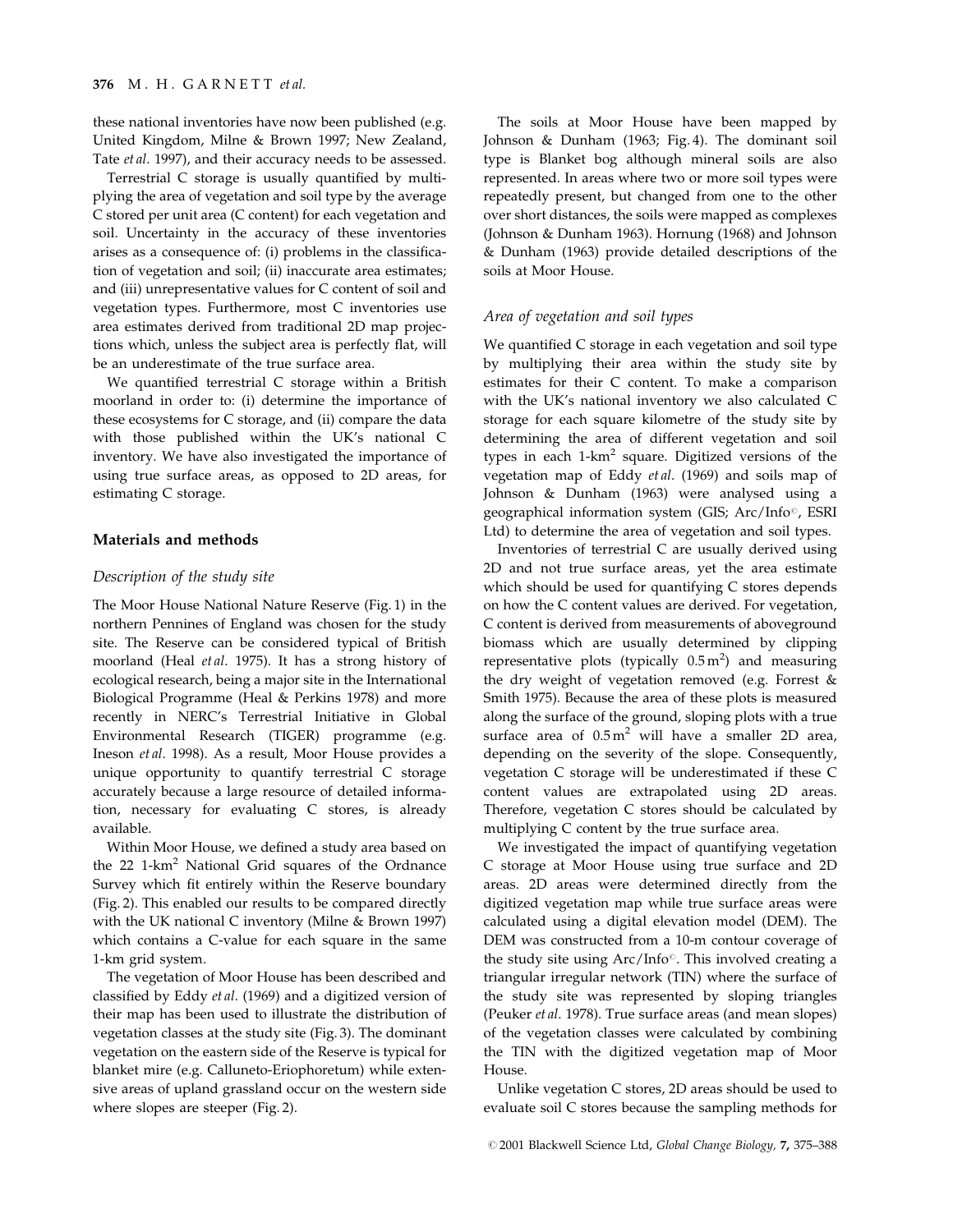these national inventories have now been published (e.g. United Kingdom, Milne & Brown 1997; New Zealand, Tate et al. 1997), and their accuracy needs to be assessed.

Terrestrial C storage is usually quantified by multiplying the area of vegetation and soil type by the average C stored per unit area (C content) for each vegetation and soil. Uncertainty in the accuracy of these inventories arises as a consequence of: (i) problems in the classification of vegetation and soil; (ii) inaccurate area estimates; and (iii) unrepresentative values for C content of soil and vegetation types. Furthermore, most C inventories use area estimates derived from traditional 2D map projections which, unless the subject area is perfectly flat, will be an underestimate of the true surface area.

We quantified terrestrial C storage within a British moorland in order to: (i) determine the importance of these ecosystems for C storage, and (ii) compare the data with those published within the UK's national C inventory. We have also investigated the importance of using true surface areas, as opposed to 2D areas, for estimating C storage.

# Materials and methods

#### Description of the study site

The Moor House National Nature Reserve (Fig. 1) in the northern Pennines of England was chosen for the study site. The Reserve can be considered typical of British moorland (Heal et al. 1975). It has a strong history of ecological research, being a major site in the International Biological Programme (Heal & Perkins 1978) and more recently in NERC's Terrestrial Initiative in Global Environmental Research (TIGER) programme (e.g. Ineson et al. 1998). As a result, Moor House provides a unique opportunity to quantify terrestrial C storage accurately because a large resource of detailed information, necessary for evaluating C stores, is already available.

Within Moor House, we defined a study area based on the 22 1-km<sup>2</sup> National Grid squares of the Ordnance Survey which fit entirely within the Reserve boundary (Fig. 2). This enabled our results to be compared directly with the UK national C inventory (Milne & Brown 1997) which contains a C-value for each square in the same 1-km grid system.

The vegetation of Moor House has been described and classified by Eddy et al. (1969) and a digitized version of their map has been used to illustrate the distribution of vegetation classes at the study site (Fig. 3). The dominant vegetation on the eastern side of the Reserve is typical for blanket mire (e.g. Calluneto-Eriophoretum) while extensive areas of upland grassland occur on the western side where slopes are steeper (Fig. 2).

The soils at Moor House have been mapped by Johnson & Dunham (1963; Fig. 4). The dominant soil type is Blanket bog although mineral soils are also represented. In areas where two or more soil types were repeatedly present, but changed from one to the other over short distances, the soils were mapped as complexes (Johnson & Dunham 1963). Hornung (1968) and Johnson & Dunham (1963) provide detailed descriptions of the soils at Moor House.

## Area of vegetation and soil types

We quantified  $C$  storage in each vegetation and soil type by multiplying their area within the study site by estimates for their C content. To make a comparison with the UK's national inventory we also calculated C storage for each square kilometre of the study site by determining the area of different vegetation and soil types in each  $1-km^2$  square. Digitized versions of the vegetation map of Eddy et al. (1969) and soils map of Johnson & Dunham (1963) were analysed using a geographical information system (GIS; Arc/Info<sup>o</sup>, ESRI Ltd) to determine the area of vegetation and soil types.

Inventories of terrestrial C are usually derived using 2D and not true surface areas, yet the area estimate which should be used for quantifying C stores depends on how the C content values are derived. For vegetation, C content is derived from measurements of aboveground biomass which are usually determined by clipping representative plots (typically  $0.5 \text{ m}^2$ ) and measuring the dry weight of vegetation removed (e.g. Forrest & Smith 1975). Because the area of these plots is measured along the surface of the ground, sloping plots with a true surface area of  $0.5 \text{ m}^2$  will have a smaller 2D area, depending on the severity of the slope. Consequently, vegetation C storage will be underestimated if these C content values are extrapolated using 2D areas. Therefore, vegetation C stores should be calculated by multiplying C content by the true surface area.

We investigated the impact of quantifying vegetation C storage at Moor House using true surface and 2D areas. 2D areas were determined directly from the digitized vegetation map while true surface areas were calculated using a digital elevation model (DEM). The DEM was constructed from a 10-m contour coverage of the study site using  $Arc/Info^{\circ}$ . This involved creating a triangular irregular network (TIN) where the surface of the study site was represented by sloping triangles (Peuker et al. 1978). True surface areas (and mean slopes) of the vegetation classes were calculated by combining the TIN with the digitized vegetation map of Moor House.

Unlike vegetation C stores, 2D areas should be used to evaluate soil C stores because the sampling methods for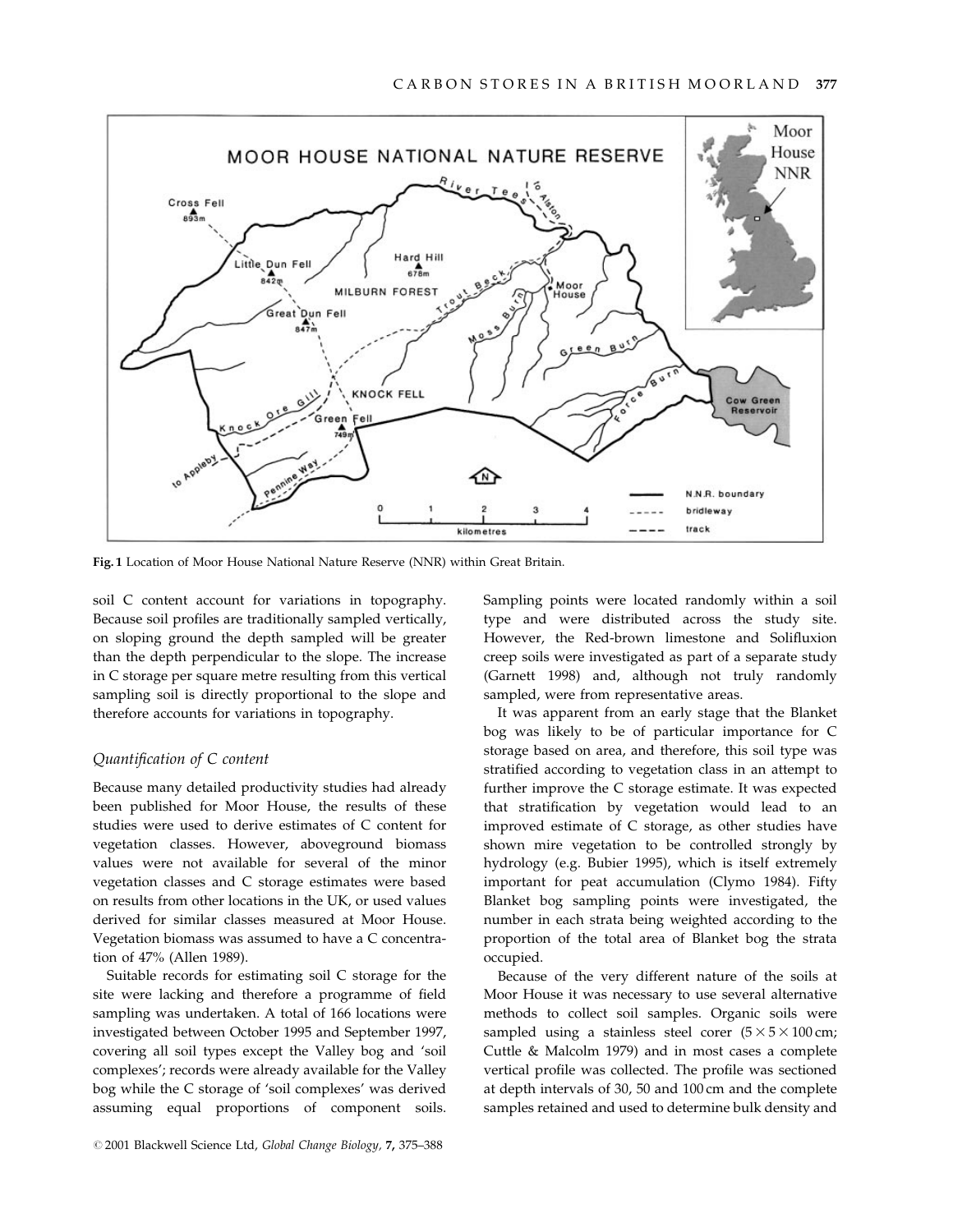

Fig. 1 Location of Moor House National Nature Reserve (NNR) within Great Britain.

soil C content account for variations in topography. Because soil profiles are traditionally sampled vertically, on sloping ground the depth sampled will be greater than the depth perpendicular to the slope. The increase in C storage per square metre resulting from this vertical sampling soil is directly proportional to the slope and therefore accounts for variations in topography.

## Quantification of C content

Because many detailed productivity studies had already been published for Moor House, the results of these studies were used to derive estimates of C content for vegetation classes. However, aboveground biomass values were not available for several of the minor vegetation classes and C storage estimates were based on results from other locations in the UK, or used values derived for similar classes measured at Moor House. Vegetation biomass was assumed to have a C concentration of 47% (Allen 1989).

Suitable records for estimating soil C storage for the site were lacking and therefore a programme of field sampling was undertaken. A total of 166 locations were investigated between October 1995 and September 1997, covering all soil types except the Valley bog and 'soil complexes'; records were already available for the Valley bog while the C storage of 'soil complexes' was derived assuming equal proportions of component soils. Sampling points were located randomly within a soil type and were distributed across the study site. However, the Red-brown limestone and Solifluxion creep soils were investigated as part of a separate study (Garnett 1998) and, although not truly randomly sampled, were from representative areas.

It was apparent from an early stage that the Blanket bog was likely to be of particular importance for C storage based on area, and therefore, this soil type was stratified according to vegetation class in an attempt to further improve the C storage estimate. It was expected that stratification by vegetation would lead to an improved estimate of C storage, as other studies have shown mire vegetation to be controlled strongly by hydrology (e.g. Bubier 1995), which is itself extremely important for peat accumulation (Clymo 1984). Fifty Blanket bog sampling points were investigated, the number in each strata being weighted according to the proportion of the total area of Blanket bog the strata occupied.

Because of the very different nature of the soils at Moor House it was necessary to use several alternative methods to collect soil samples. Organic soils were sampled using a stainless steel corer  $(5 \times 5 \times 100 \text{ cm})$ ; Cuttle & Malcolm 1979) and in most cases a complete vertical profile was collected. The profile was sectioned at depth intervals of 30, 50 and 100 cm and the complete samples retained and used to determine bulk density and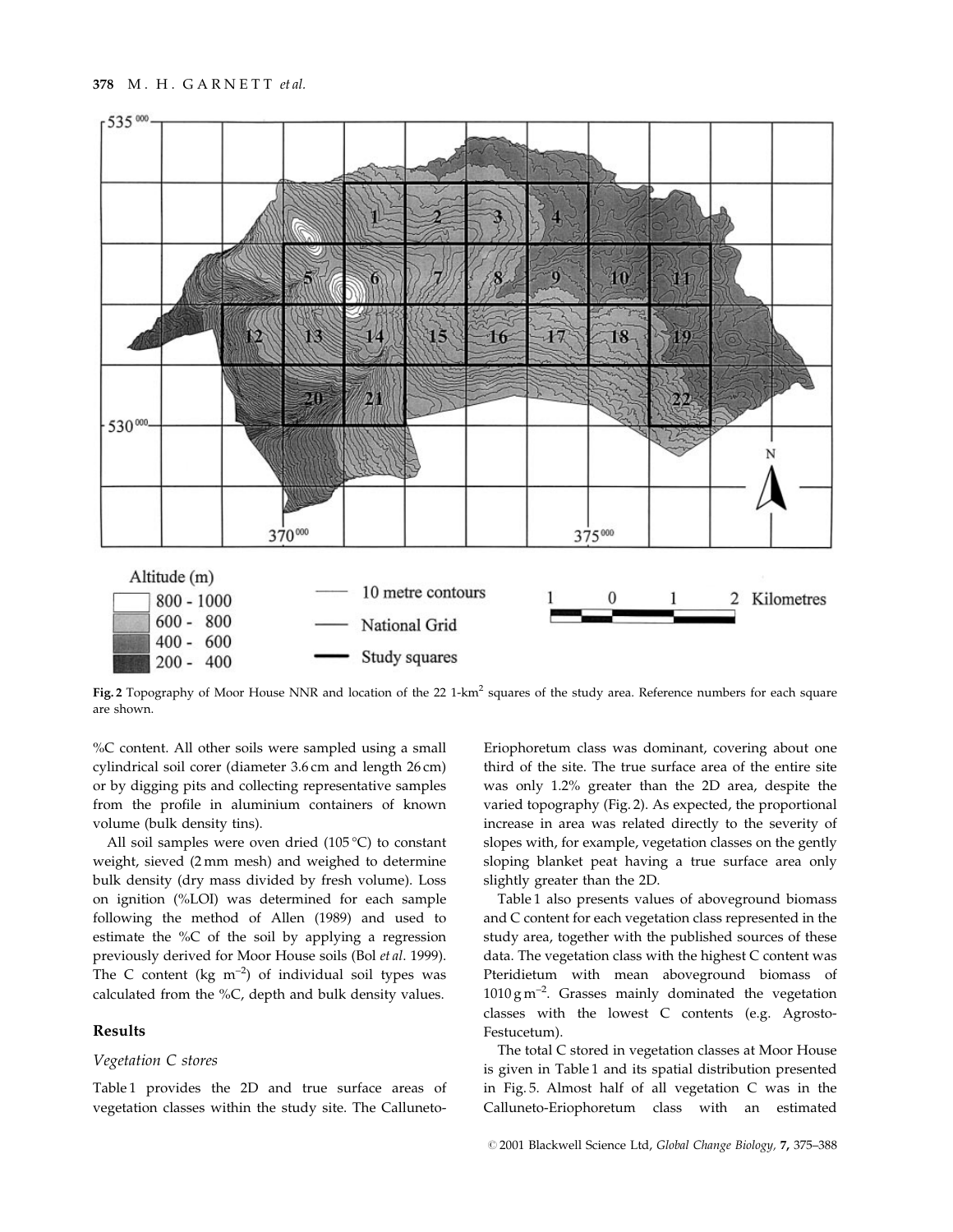

Fig. 2 Topography of Moor House NNR and location of the 22 1-km<sup>2</sup> squares of the study area. Reference numbers for each square are shown.

%C content. All other soils were sampled using a small cylindrical soil corer (diameter 3.6 cm and length 26 cm) or by digging pits and collecting representative samples from the profile in aluminium containers of known volume (bulk density tins).

All soil samples were oven dried (105 °C) to constant weight, sieved (2 mm mesh) and weighed to determine bulk density (dry mass divided by fresh volume). Loss on ignition (%LOI) was determined for each sample following the method of Allen (1989) and used to estimate the %C of the soil by applying a regression previously derived for Moor House soils (Bol et al. 1999). The C content (kg  $m^{-2}$ ) of individual soil types was calculated from the %C, depth and bulk density values.

# Results

# Vegetation C stores

Table 1 provides the 2D and true surface areas of vegetation classes within the study site. The Calluneto-

Eriophoretum class was dominant, covering about one third of the site. The true surface area of the entire site was only 1.2% greater than the 2D area, despite the varied topography (Fig. 2). As expected, the proportional increase in area was related directly to the severity of slopes with, for example, vegetation classes on the gently sloping blanket peat having a true surface area only slightly greater than the 2D.

Table 1 also presents values of aboveground biomass and C content for each vegetation class represented in the study area, together with the published sources of these data. The vegetation class with the highest C content was Pteridietum with mean aboveground biomass of  $1010 \text{ g m}^{-2}$ . Grasses mainly dominated the vegetation classes with the lowest C contents (e.g. Agrosto-Festucetum).

The total C stored in vegetation classes at Moor House is given in Table 1 and its spatial distribution presented in Fig. 5. Almost half of all vegetation C was in the Calluneto-Eriophoretum class with an estimated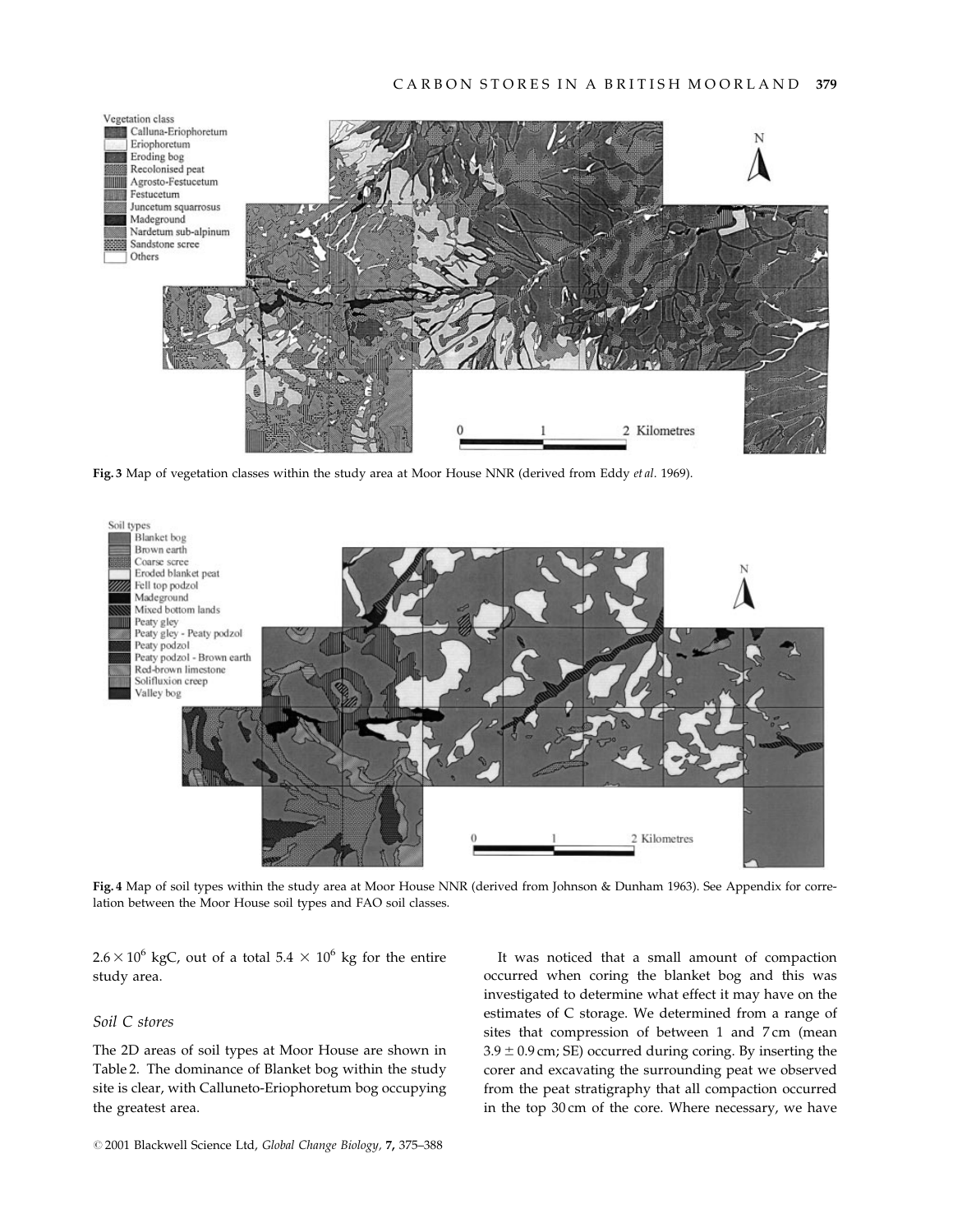

Fig. 3 Map of vegetation classes within the study area at Moor House NNR (derived from Eddy et al. 1969).



Fig. 4 Map of soil types within the study area at Moor House NNR (derived from Johnson & Dunham 1963). See Appendix for correlation between the Moor House soil types and FAO soil classes.

 $2.6 \times 10^6$  kgC, out of a total  $5.4 \times 10^6$  kg for the entire study area.

# Soil C stores

The 2D areas of soil types at Moor House are shown in Table 2. The dominance of Blanket bog within the study site is clear, with Calluneto-Eriophoretum bog occupying the greatest area.

It was noticed that a small amount of compaction occurred when coring the blanket bog and this was investigated to determine what effect it may have on the estimates of C storage. We determined from a range of sites that compression of between 1 and 7 cm (mean  $3.9 \pm 0.9$  cm; SE) occurred during coring. By inserting the corer and excavating the surrounding peat we observed from the peat stratigraphy that all compaction occurred in the top 30 cm of the core. Where necessary, we have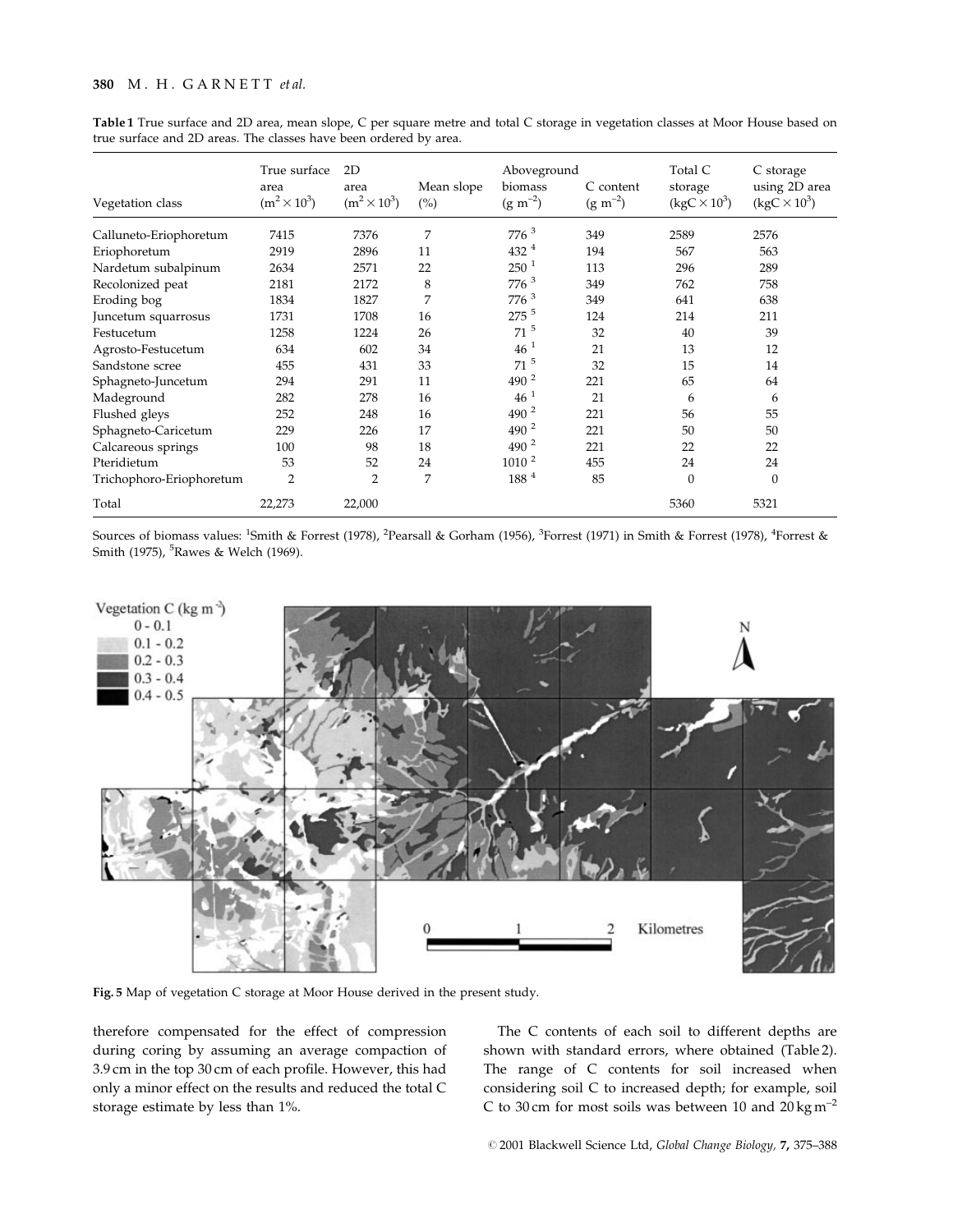# 380 M. H. GARNETT et al.

| Vegetation class         | True surface<br>area<br>$(m^2 \times 10^3)$ | 2D<br>area<br>$(m^2 \times 10^3)$ | Mean slope<br>(%) | Aboveground<br>biomass<br>$(g m^{-2})$ | C content<br>$(g m^{-2})$ | Total C<br>storage<br>$(kgC \times 10^3)$ | C storage<br>using 2D area<br>$(kgC \times 10^3)$ |
|--------------------------|---------------------------------------------|-----------------------------------|-------------------|----------------------------------------|---------------------------|-------------------------------------------|---------------------------------------------------|
| Calluneto-Eriophoretum   | 7415                                        | 7376                              | 7                 | $776^3$                                | 349                       | 2589                                      | 2576                                              |
| Eriophoretum             | 2919                                        | 2896                              | 11                | $432^4$                                | 194                       | 567                                       | 563                                               |
| Nardetum subalpinum      | 2634                                        | 2571                              | 22                | 250 <sup>1</sup>                       | 113                       | 296                                       | 289                                               |
| Recolonized peat         | 2181                                        | 2172                              | 8                 | 776 <sup>3</sup>                       | 349                       | 762                                       | 758                                               |
| Eroding bog              | 1834                                        | 1827                              | 7                 | 776 <sup>3</sup>                       | 349                       | 641                                       | 638                                               |
| Juncetum squarrosus      | 1731                                        | 1708                              | 16                | 275 5                                  | 124                       | 214                                       | 211                                               |
| Festucetum               | 1258                                        | 1224                              | 26                | $71$ <sup>5</sup>                      | 32                        | 40                                        | 39                                                |
| Agrosto-Festucetum       | 634                                         | 602                               | 34                | $46^{1}$                               | 21                        | 13                                        | 12                                                |
| Sandstone scree          | 455                                         | 431                               | 33                | $71$ <sup>5</sup>                      | 32                        | 15                                        | 14                                                |
| Sphagneto-Juncetum       | 294                                         | 291                               | 11                | $490^2$                                | 221                       | 65                                        | 64                                                |
| Madeground               | 282                                         | 278                               | 16                | $46^{1}$                               | 21                        | 6                                         | 6                                                 |
| Flushed gleys            | 252                                         | 248                               | 16                | $490^2$                                | 221                       | 56                                        | 55                                                |
| Sphagneto-Caricetum      | 229                                         | 226                               | 17                | $490^{2}$                              | 221                       | 50                                        | 50                                                |
| Calcareous springs       | 100                                         | 98                                | 18                | $490^2$                                | 221                       | 22                                        | 22                                                |
| Pteridietum              | 53                                          | 52                                | 24                | 1010 <sup>2</sup>                      | 455                       | 24                                        | 24                                                |
| Trichophoro-Eriophoretum | $\overline{2}$                              | $\overline{2}$                    | 7                 | 188 4                                  | 85                        | $\theta$                                  | $\boldsymbol{0}$                                  |
| Total                    | 22,273                                      | 22,000                            |                   |                                        |                           | 5360                                      | 5321                                              |

Table 1 True surface and 2D area, mean slope, C per square metre and total C storage in vegetation classes at Moor House based on true surface and 2D areas. The classes have been ordered by area.

Sources of biomass values: <sup>1</sup>Smith & Forrest (1978), <sup>2</sup>Pearsall & Gorham (1956), <sup>3</sup>Forrest (1971) in Smith & Forrest (1978), <sup>4</sup>Forrest & Smith (1975), <sup>5</sup>Rawes & Welch (1969).



Fig. 5 Map of vegetation C storage at Moor House derived in the present study.

therefore compensated for the effect of compression during coring by assuming an average compaction of 3.9 cm in the top 30 cm of each profile. However, this had only a minor effect on the results and reduced the total C storage estimate by less than 1%.

The C contents of each soil to different depths are shown with standard errors, where obtained (Table 2). The range of C contents for soil increased when considering soil C to increased depth; for example, soil C to 30 cm for most soils was between 10 and  $20 \text{ kg m}^{-2}$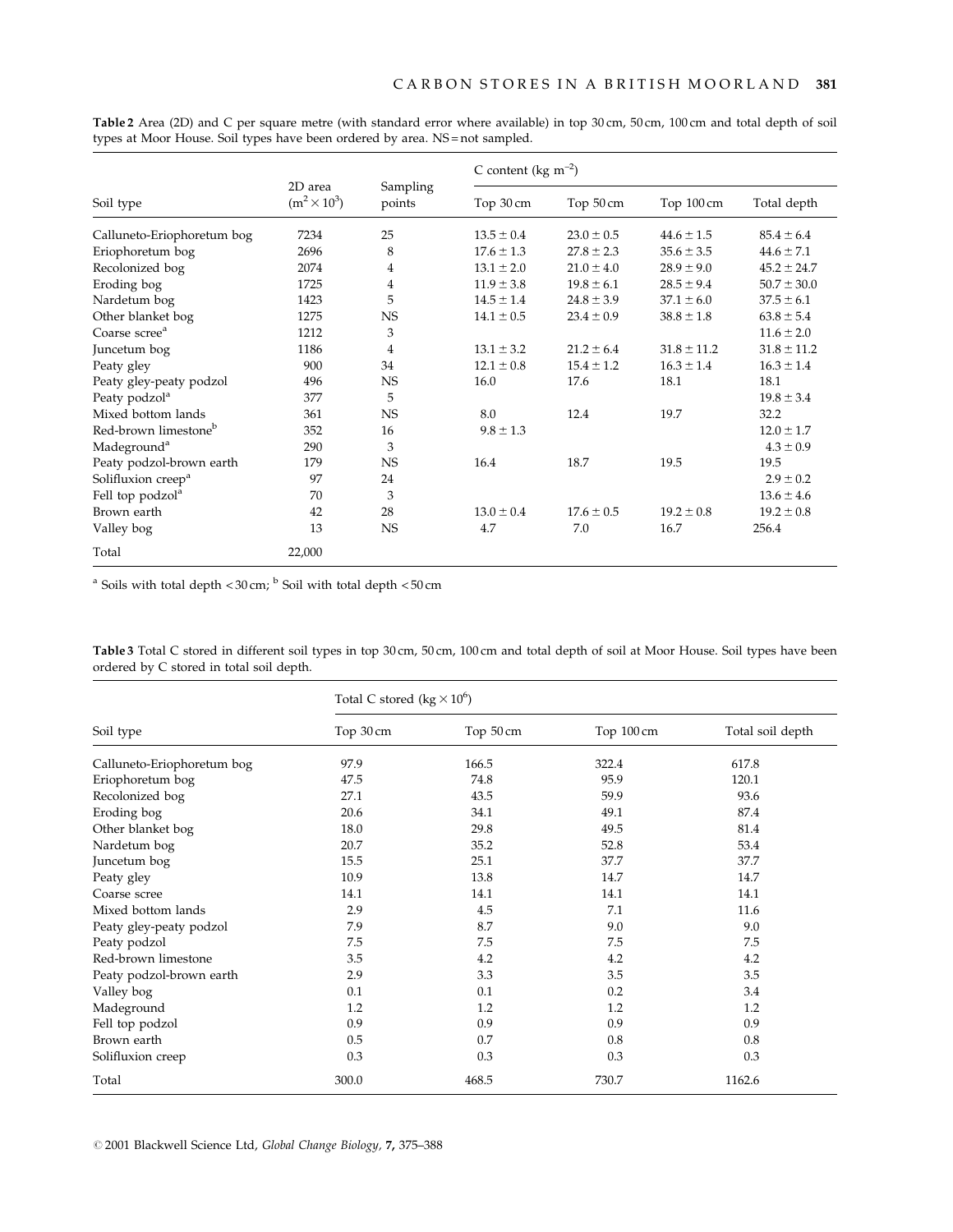|                                  | 2D area<br>$(m^2 \times 10^3)$ | Sampling<br>points | C content ( $\text{kg m}^{-2}$ ) |                |                 |                 |
|----------------------------------|--------------------------------|--------------------|----------------------------------|----------------|-----------------|-----------------|
| Soil type                        |                                |                    | Top 30 cm                        | Top 50 cm      | Top 100 cm      | Total depth     |
| Calluneto-Eriophoretum bog       | 7234                           | 25                 | $13.5 \pm 0.4$                   | $23.0 \pm 0.5$ | $44.6 \pm 1.5$  | $85.4 \pm 6.4$  |
| Eriophoretum bog                 | 2696                           | 8                  | $17.6 \pm 1.3$                   | $27.8 \pm 2.3$ | $35.6 \pm 3.5$  | $44.6 \pm 7.1$  |
| Recolonized bog                  | 2074                           | $\overline{4}$     | $13.1 \pm 2.0$                   | $21.0 \pm 4.0$ | $28.9 \pm 9.0$  | $45.2 \pm 24.7$ |
| Eroding bog                      | 1725                           | $\overline{4}$     | $11.9 \pm 3.8$                   | $19.8 \pm 6.1$ | $28.5 \pm 9.4$  | $50.7 \pm 30.0$ |
| Nardetum bog                     | 1423                           | 5                  | $14.5 \pm 1.4$                   | $24.8 \pm 3.9$ | $37.1 \pm 6.0$  | $37.5 \pm 6.1$  |
| Other blanket bog                | 1275                           | <b>NS</b>          | $14.1 \pm 0.5$                   | $23.4 \pm 0.9$ | $38.8 \pm 1.8$  | $63.8 \pm 5.4$  |
| Coarse scree <sup>a</sup>        | 1212                           | 3                  |                                  |                |                 | $11.6 \pm 2.0$  |
| Juncetum bog                     | 1186                           | 4                  | $13.1 \pm 3.2$                   | $21.2 \pm 6.4$ | $31.8 \pm 11.2$ | $31.8 \pm 11.2$ |
| Peaty gley                       | 900                            | 34                 | $12.1 \pm 0.8$                   | $15.4 \pm 1.2$ | $16.3 \pm 1.4$  | $16.3 \pm 1.4$  |
| Peaty gley-peaty podzol          | 496                            | <b>NS</b>          | 16.0                             | 17.6           | 18.1            | 18.1            |
| Peaty podzol <sup>a</sup>        | 377                            | 5                  |                                  |                |                 | $19.8 \pm 3.4$  |
| Mixed bottom lands               | 361                            | <b>NS</b>          | 8.0                              | 12.4           | 19.7            | 32.2            |
| Red-brown limestone <sup>b</sup> | 352                            | 16                 | $9.8 \pm 1.3$                    |                |                 | $12.0 \pm 1.7$  |
| Madeground <sup>a</sup>          | 290                            | 3                  |                                  |                |                 | $4.3 \pm 0.9$   |
| Peaty podzol-brown earth         | 179                            | <b>NS</b>          | 16.4                             | 18.7           | 19.5            | 19.5            |
| Solifluxion creep <sup>a</sup>   | 97                             | 24                 |                                  |                |                 | $2.9 \pm 0.2$   |
| Fell top podzol <sup>a</sup>     | 70                             | 3                  |                                  |                |                 | $13.6 \pm 4.6$  |
| Brown earth                      | 42                             | 28                 | $13.0 \pm 0.4$                   | $17.6 \pm 0.5$ | $19.2 \pm 0.8$  | $19.2 \pm 0.8$  |
| Valley bog                       | 13                             | <b>NS</b>          | 4.7                              | 7.0            | 16.7            | 256.4           |
| Total                            | 22,000                         |                    |                                  |                |                 |                 |

Table 2 Area (2D) and C per square metre (with standard error where available) in top 30 cm, 50 cm, 100 cm and total depth of soil types at Moor House. Soil types have been ordered by area. NS = not sampled.

<sup>a</sup> Soils with total depth <  $30 \text{ cm}$ ; <sup>b</sup> Soil with total depth <  $50 \text{ cm}$ 

Table 3 Total C stored in different soil types in top 30 cm, 50 cm, 100 cm and total depth of soil at Moor House. Soil types have been ordered by C stored in total soil depth.

|                            | Total C stored (kg $\times 10^6$ ) |           |            |                  |  |
|----------------------------|------------------------------------|-----------|------------|------------------|--|
| Soil type                  | Top 30 cm                          | Top 50 cm | Top 100 cm | Total soil depth |  |
| Calluneto-Eriophoretum bog | 97.9                               | 166.5     | 322.4      | 617.8            |  |
| Eriophoretum bog           | 47.5                               | 74.8      | 95.9       | 120.1            |  |
| Recolonized bog            | 27.1                               | 43.5      | 59.9       | 93.6             |  |
| Eroding bog                | 20.6                               | 34.1      | 49.1       | 87.4             |  |
| Other blanket bog          | 18.0                               | 29.8      | 49.5       | 81.4             |  |
| Nardetum bog               | 20.7                               | 35.2      | 52.8       | 53.4             |  |
| Juncetum bog               | 15.5                               | 25.1      | 37.7       | 37.7             |  |
| Peaty gley                 | 10.9                               | 13.8      | 14.7       | 14.7             |  |
| Coarse scree               | 14.1                               | 14.1      | 14.1       | 14.1             |  |
| Mixed bottom lands         | 2.9                                | 4.5       | 7.1        | 11.6             |  |
| Peaty gley-peaty podzol    | 7.9                                | 8.7       | 9.0        | 9.0              |  |
| Peaty podzol               | 7.5                                | 7.5       | 7.5        | 7.5              |  |
| Red-brown limestone        | 3.5                                | 4.2       | 4.2        | 4.2              |  |
| Peaty podzol-brown earth   | 2.9                                | 3.3       | 3.5        | 3.5              |  |
| Valley bog                 | 0.1                                | 0.1       | 0.2        | 3.4              |  |
| Madeground                 | 1.2                                | 1.2       | 1.2        | 1.2              |  |
| Fell top podzol            | 0.9                                | 0.9       | 0.9        | 0.9              |  |
| Brown earth                | 0.5                                | 0.7       | 0.8        | 0.8              |  |
| Solifluxion creep          | 0.3                                | 0.3       | 0.3        | 0.3              |  |
| Total                      | 300.0                              | 468.5     | 730.7      | 1162.6           |  |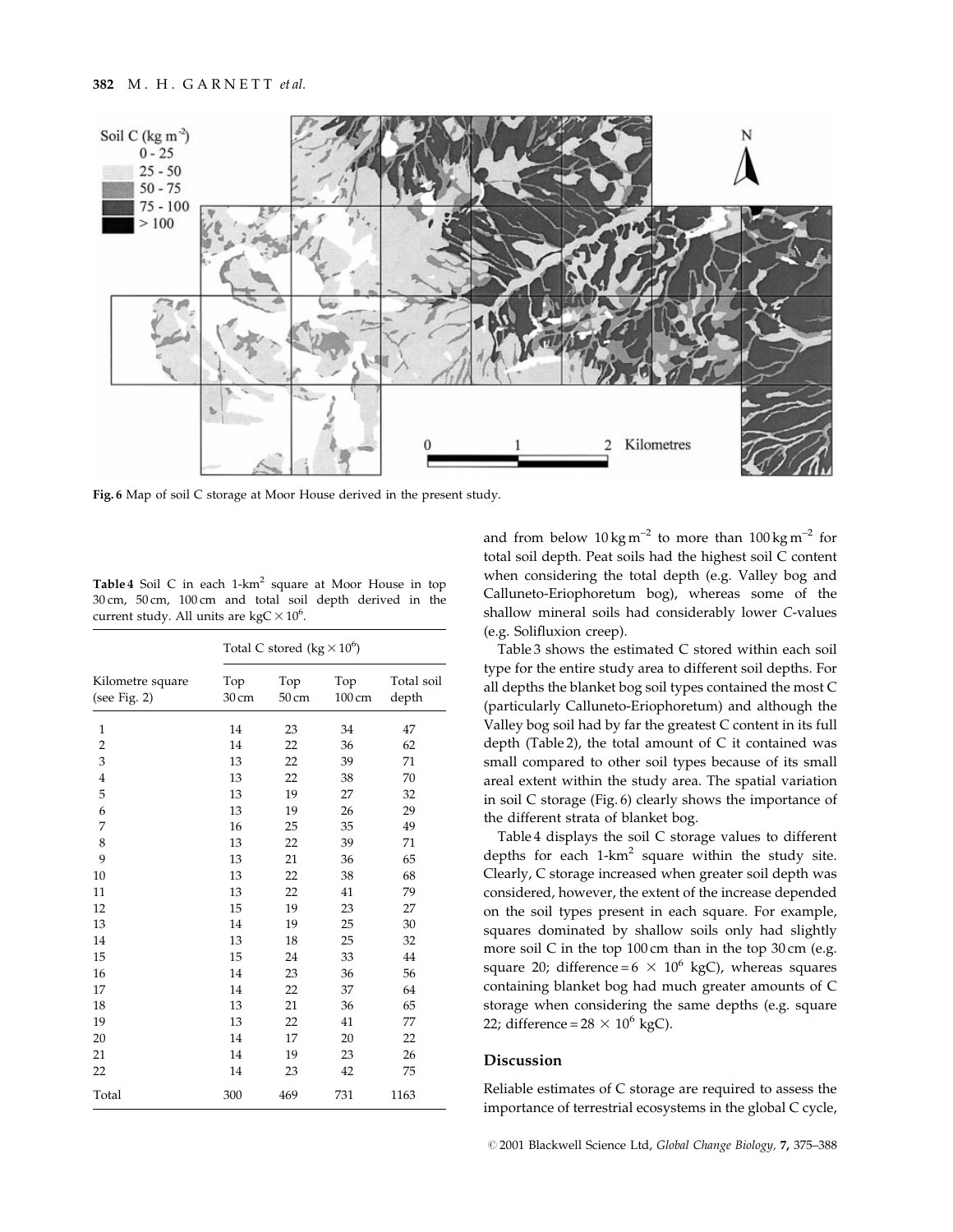

Fig. 6 Map of soil C storage at Moor House derived in the present study.

Table 4 Soil C in each 1-km<sup>2</sup> square at Moor House in top 30 cm, 50 cm, 100 cm and total soil depth derived in the current study. All units are kgC  $\times$  10<sup>6</sup>.

|                                  | Total C stored (kg $\times 10^6$ ) |              |               |                     |
|----------------------------------|------------------------------------|--------------|---------------|---------------------|
| Kilometre square<br>(see Fig. 2) | Top<br>30 cm                       | Top<br>50 cm | Top<br>100 cm | Total soil<br>depth |
| $\mathbf{1}$                     | 14                                 | 23           | 34            | 47                  |
| $\overline{2}$                   | 14                                 | 22           | 36            | 62                  |
| 3                                | 13                                 | 22           | 39            | 71                  |
| $\overline{4}$                   | 13                                 | 22           | 38            | 70                  |
| 5                                | 13                                 | 19           | 27            | 32                  |
| 6                                | 13                                 | 19           | 26            | 29                  |
| 7                                | 16                                 | 25           | 35            | 49                  |
| 8                                | 13                                 | 22           | 39            | 71                  |
| 9                                | 13                                 | 21           | 36            | 65                  |
| 10                               | 13                                 | 22           | 38            | 68                  |
| 11                               | 13                                 | 22           | 41            | 79                  |
| 12                               | 15                                 | 19           | 23            | 27                  |
| 13                               | 14                                 | 19           | 25            | 30                  |
| 14                               | 13                                 | 18           | 25            | 32                  |
| 15                               | 15                                 | 24           | 33            | 44                  |
| 16                               | 14                                 | 23           | 36            | 56                  |
| 17                               | 14                                 | 22           | 37            | 64                  |
| 18                               | 13                                 | 21           | 36            | 65                  |
| 19                               | 13                                 | 22           | 41            | 77                  |
| 20                               | 14                                 | 17           | 20            | 22                  |
| 21                               | 14                                 | 19           | 23            | 26                  |
| 22                               | 14                                 | 23           | 42            | 75                  |
| Total                            | 300                                | 469          | 731           | 1163                |

and from below  $10 \text{ kg m}^{-2}$  to more than  $100 \text{ kg m}^{-2}$  for total soil depth. Peat soils had the highest soil C content when considering the total depth (e.g. Valley bog and Calluneto-Eriophoretum bog), whereas some of the shallow mineral soils had considerably lower C-values (e.g. Solifluxion creep).

Table 3 shows the estimated C stored within each soil type for the entire study area to different soil depths. For all depths the blanket bog soil types contained the most C (particularly Calluneto-Eriophoretum) and although the Valley bog soil had by far the greatest C content in its full depth (Table 2), the total amount of C it contained was small compared to other soil types because of its small areal extent within the study area. The spatial variation in soil C storage (Fig. 6) clearly shows the importance of the different strata of blanket bog.

Table 4 displays the soil C storage values to different depths for each 1-km<sup>2</sup> square within the study site. Clearly, C storage increased when greater soil depth was considered, however, the extent of the increase depended on the soil types present in each square. For example, squares dominated by shallow soils only had slightly more soil C in the top 100 cm than in the top 30 cm (e.g. square 20; difference =  $6 \times 10^6$  kgC), whereas squares containing blanket bog had much greater amounts of C storage when considering the same depths (e.g. square 22; difference =  $28 \times 10^6$  kgC).

# Discussion

Reliable estimates of C storage are required to assess the importance of terrestrial ecosystems in the global C cycle,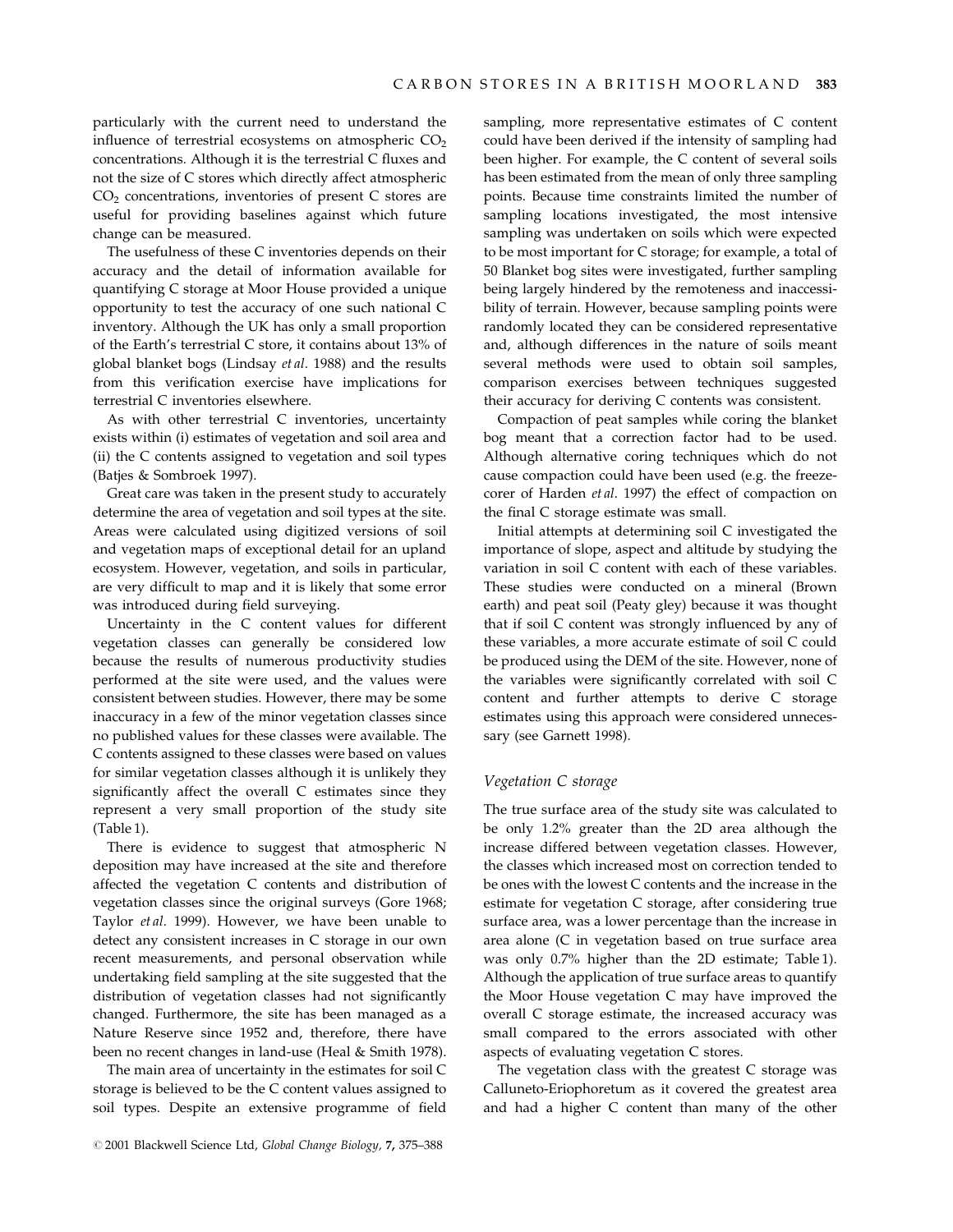particularly with the current need to understand the influence of terrestrial ecosystems on atmospheric  $CO<sub>2</sub>$ concentrations. Although it is the terrestrial  $C$  fluxes and not the size of C stores which directly affect atmospheric CO2 concentrations, inventories of present C stores are useful for providing baselines against which future change can be measured.

The usefulness of these C inventories depends on their accuracy and the detail of information available for quantifying C storage at Moor House provided a unique opportunity to test the accuracy of one such national C inventory. Although the UK has only a small proportion of the Earth's terrestrial C store, it contains about 13% of global blanket bogs (Lindsay et al. 1988) and the results from this verification exercise have implications for terrestrial C inventories elsewhere.

As with other terrestrial C inventories, uncertainty exists within (i) estimates of vegetation and soil area and (ii) the C contents assigned to vegetation and soil types (Batjes & Sombroek 1997).

Great care was taken in the present study to accurately determine the area of vegetation and soil types at the site. Areas were calculated using digitized versions of soil and vegetation maps of exceptional detail for an upland ecosystem. However, vegetation, and soils in particular, are very difficult to map and it is likely that some error was introduced during field surveying.

Uncertainty in the C content values for different vegetation classes can generally be considered low because the results of numerous productivity studies performed at the site were used, and the values were consistent between studies. However, there may be some inaccuracy in a few of the minor vegetation classes since no published values for these classes were available. The C contents assigned to these classes were based on values for similar vegetation classes although it is unlikely they significantly affect the overall C estimates since they represent a very small proportion of the study site (Table 1).

There is evidence to suggest that atmospheric N deposition may have increased at the site and therefore affected the vegetation C contents and distribution of vegetation classes since the original surveys (Gore 1968; Taylor et al. 1999). However, we have been unable to detect any consistent increases in C storage in our own recent measurements, and personal observation while undertaking field sampling at the site suggested that the distribution of vegetation classes had not significantly changed. Furthermore, the site has been managed as a Nature Reserve since 1952 and, therefore, there have been no recent changes in land-use (Heal & Smith 1978).

The main area of uncertainty in the estimates for soil C storage is believed to be the C content values assigned to soil types. Despite an extensive programme of field sampling, more representative estimates of C content could have been derived if the intensity of sampling had been higher. For example, the C content of several soils has been estimated from the mean of only three sampling points. Because time constraints limited the number of sampling locations investigated, the most intensive sampling was undertaken on soils which were expected to be most important for C storage; for example, a total of 50 Blanket bog sites were investigated, further sampling being largely hindered by the remoteness and inaccessibility of terrain. However, because sampling points were randomly located they can be considered representative and, although differences in the nature of soils meant several methods were used to obtain soil samples, comparison exercises between techniques suggested their accuracy for deriving C contents was consistent.

Compaction of peat samples while coring the blanket bog meant that a correction factor had to be used. Although alternative coring techniques which do not cause compaction could have been used (e.g. the freezecorer of Harden et al. 1997) the effect of compaction on the final C storage estimate was small.

Initial attempts at determining soil C investigated the importance of slope, aspect and altitude by studying the variation in soil C content with each of these variables. These studies were conducted on a mineral (Brown earth) and peat soil (Peaty gley) because it was thought that if soil C content was strongly influenced by any of these variables, a more accurate estimate of soil C could be produced using the DEM of the site. However, none of the variables were significantly correlated with soil C content and further attempts to derive C storage estimates using this approach were considered unnecessary (see Garnett 1998).

#### Vegetation C storage

The true surface area of the study site was calculated to be only 1.2% greater than the 2D area although the increase differed between vegetation classes. However, the classes which increased most on correction tended to be ones with the lowest C contents and the increase in the estimate for vegetation C storage, after considering true surface area, was a lower percentage than the increase in area alone (C in vegetation based on true surface area was only 0.7% higher than the 2D estimate; Table 1). Although the application of true surface areas to quantify the Moor House vegetation C may have improved the overall C storage estimate, the increased accuracy was small compared to the errors associated with other aspects of evaluating vegetation C stores.

The vegetation class with the greatest C storage was Calluneto-Eriophoretum as it covered the greatest area and had a higher C content than many of the other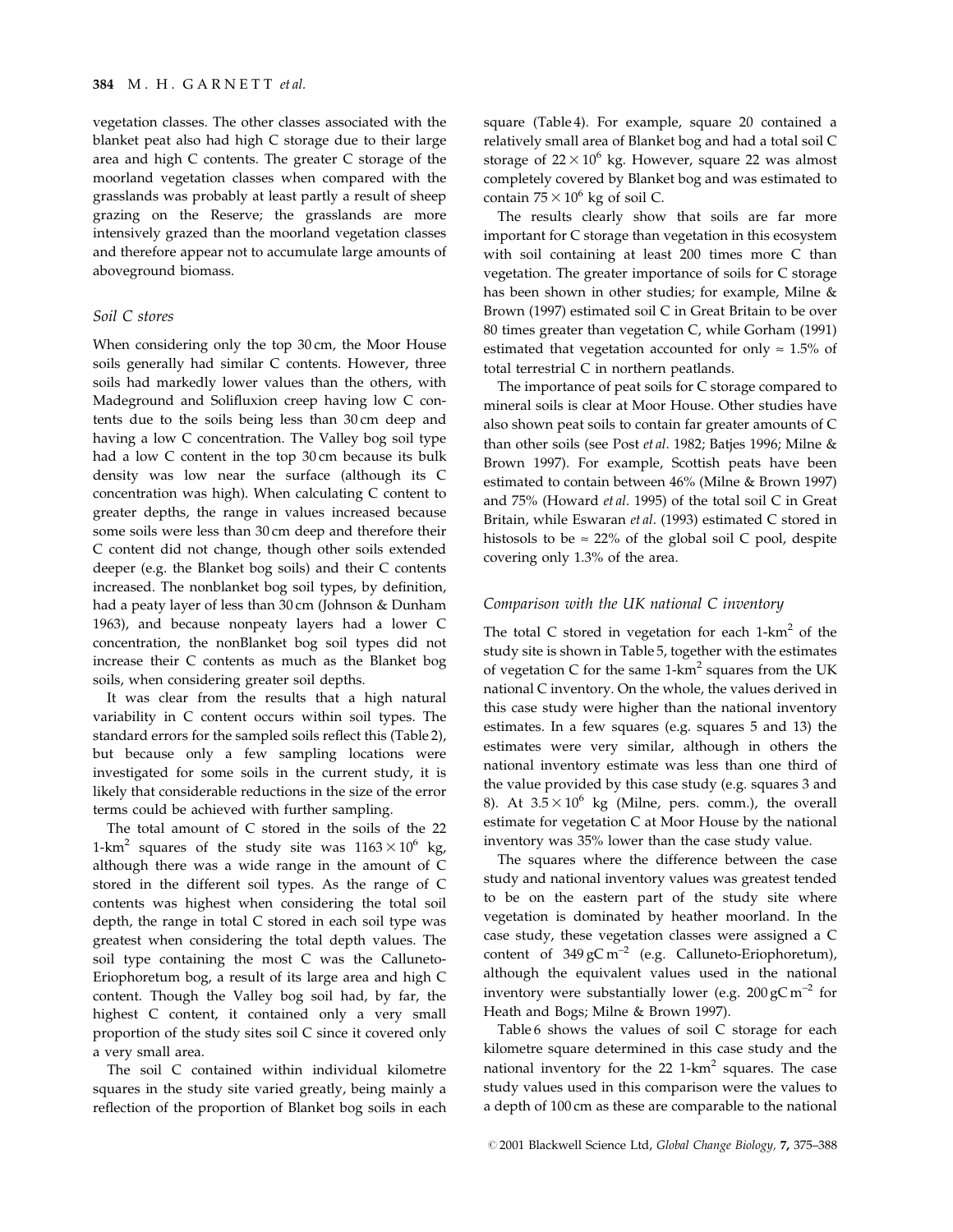# 384 M. H. GARNETT et al.

vegetation classes. The other classes associated with the blanket peat also had high C storage due to their large area and high C contents. The greater C storage of the moorland vegetation classes when compared with the grasslands was probably at least partly a result of sheep grazing on the Reserve; the grasslands are more intensively grazed than the moorland vegetation classes and therefore appear not to accumulate large amounts of aboveground biomass.

# Soil C stores

When considering only the top 30 cm, the Moor House soils generally had similar C contents. However, three soils had markedly lower values than the others, with Madeground and Solifluxion creep having low C contents due to the soils being less than 30 cm deep and having a low C concentration. The Valley bog soil type had a low C content in the top 30 cm because its bulk density was low near the surface (although its C concentration was high). When calculating C content to greater depths, the range in values increased because some soils were less than 30 cm deep and therefore their C content did not change, though other soils extended deeper (e.g. the Blanket bog soils) and their C contents increased. The nonblanket bog soil types, by definition, had a peaty layer of less than 30 cm (Johnson & Dunham 1963), and because nonpeaty layers had a lower C concentration, the nonBlanket bog soil types did not increase their C contents as much as the Blanket bog soils, when considering greater soil depths.

It was clear from the results that a high natural variability in C content occurs within soil types. The standard errors for the sampled soils reflect this (Table 2), but because only a few sampling locations were investigated for some soils in the current study, it is likely that considerable reductions in the size of the error terms could be achieved with further sampling.

The total amount of C stored in the soils of the 22 1-km<sup>2</sup> squares of the study site was  $1163 \times 10^6$  kg, although there was a wide range in the amount of C stored in the different soil types. As the range of C contents was highest when considering the total soil depth, the range in total C stored in each soil type was greatest when considering the total depth values. The soil type containing the most C was the Calluneto-Eriophoretum bog, a result of its large area and high C content. Though the Valley bog soil had, by far, the highest C content, it contained only a very small proportion of the study sites soil C since it covered only a very small area.

The soil C contained within individual kilometre squares in the study site varied greatly, being mainly a reflection of the proportion of Blanket bog soils in each square (Table 4). For example, square 20 contained a relatively small area of Blanket bog and had a total soil C storage of  $22 \times 10^6$  kg. However, square 22 was almost completely covered by Blanket bog and was estimated to contain  $75 \times 10^6$  kg of soil C.

The results clearly show that soils are far more important for C storage than vegetation in this ecosystem with soil containing at least 200 times more C than vegetation. The greater importance of soils for C storage has been shown in other studies; for example, Milne & Brown (1997) estimated soil C in Great Britain to be over 80 times greater than vegetation C, while Gorham (1991) estimated that vegetation accounted for only  $\approx 1.5\%$  of total terrestrial C in northern peatlands.

The importance of peat soils for C storage compared to mineral soils is clear at Moor House. Other studies have also shown peat soils to contain far greater amounts of C than other soils (see Post et al. 1982; Batjes 1996; Milne & Brown 1997). For example, Scottish peats have been estimated to contain between 46% (Milne & Brown 1997) and 75% (Howard et al. 1995) of the total soil C in Great Britain, while Eswaran et al. (1993) estimated C stored in histosols to be  $\approx$  22% of the global soil C pool, despite covering only 1.3% of the area.

# Comparison with the UK national C inventory

The total C stored in vegetation for each  $1-km^2$  of the study site is shown in Table 5, together with the estimates of vegetation C for the same  $1-km^2$  squares from the UK national C inventory. On the whole, the values derived in this case study were higher than the national inventory estimates. In a few squares (e.g. squares 5 and 13) the estimates were very similar, although in others the national inventory estimate was less than one third of the value provided by this case study (e.g. squares 3 and 8). At  $3.5 \times 10^6$  kg (Milne, pers. comm.), the overall estimate for vegetation C at Moor House by the national inventory was 35% lower than the case study value.

The squares where the difference between the case study and national inventory values was greatest tended to be on the eastern part of the study site where vegetation is dominated by heather moorland. In the case study, these vegetation classes were assigned a C content of  $349 \text{ gC m}^{-2}$  (e.g. Calluneto-Eriophoretum), although the equivalent values used in the national inventory were substantially lower (e.g.  $200 \text{ gC m}^{-2}$  for Heath and Bogs; Milne & Brown 1997).

Table 6 shows the values of soil C storage for each kilometre square determined in this case study and the national inventory for the  $22$  1-km<sup>2</sup> squares. The case study values used in this comparison were the values to a depth of 100 cm as these are comparable to the national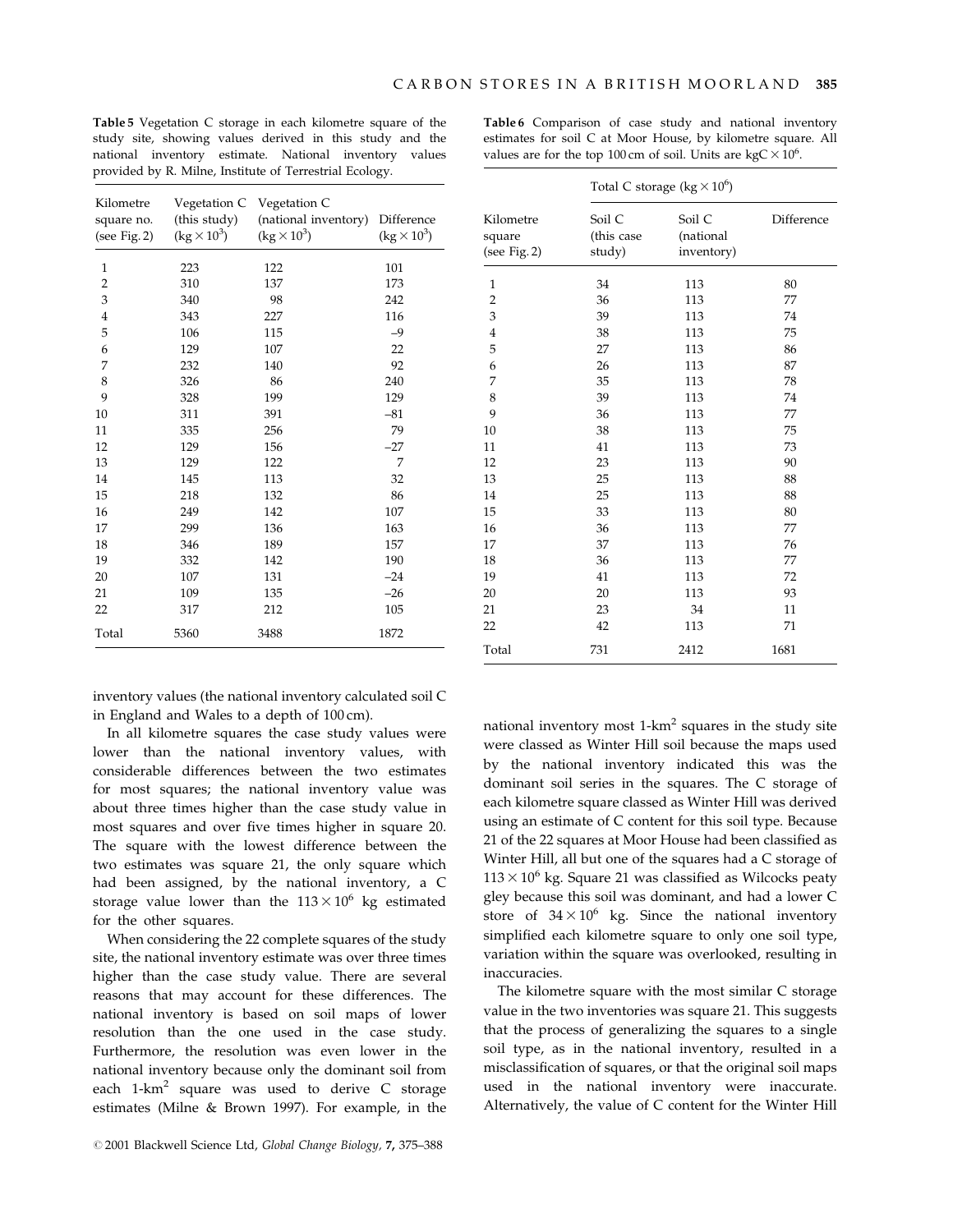Table 5 Vegetation C storage in each kilometre square of the study site, showing values derived in this study and the national inventory estimate. National inventory values provided by R. Milne, Institute of Terrestrial Ecology.

Table 6 Comparison of case study and national inventory estimates for soil C at Moor House, by kilometre square. All values are for the top 100 cm of soil. Units are  $kgC \times 10^6$ .

| Kilometre<br>square no.<br>(see Fig. 2) | Vegetation C<br>(this study)<br>$(kg \times 10^3)$ | Vegetation C<br>(national inventory)<br>$(kg \times 10^3)$ | Difference<br>$(kg \times 10^3)$ |
|-----------------------------------------|----------------------------------------------------|------------------------------------------------------------|----------------------------------|
| $\mathbf{1}$                            | 223                                                | 122                                                        | 101                              |
| $\overline{2}$                          | 310                                                | 137                                                        | 173                              |
| 3                                       | 340                                                | 98                                                         | 242                              |
| $\overline{4}$                          | 343                                                | 227                                                        | 116                              |
| 5                                       | 106                                                | 115                                                        | $-9$                             |
| 6                                       | 129                                                | 107                                                        | 22                               |
| 7                                       | 232                                                | 140                                                        | 92                               |
| 8                                       | 326                                                | 86                                                         | 240                              |
| 9                                       | 328                                                | 199                                                        | 129                              |
| 10                                      | 311                                                | 391                                                        | $-81$                            |
| 11                                      | 335                                                | 256                                                        | 79                               |
| 12                                      | 129                                                | 156                                                        | $-27$                            |
| 13                                      | 129                                                | 122                                                        | 7                                |
| 14                                      | 145                                                | 113                                                        | 32                               |
| 15                                      | 218                                                | 132                                                        | 86                               |
| 16                                      | 249                                                | 142                                                        | 107                              |
| 17                                      | 299                                                | 136                                                        | 163                              |
| 18                                      | 346                                                | 189                                                        | 157                              |
| 19                                      | 332                                                | 142                                                        | 190                              |
| 20                                      | 107                                                | 131                                                        | $-24$                            |
| 21                                      | 109                                                | 135                                                        | $-26$                            |
| 22                                      | 317                                                | 212                                                        | 105                              |
| Total                                   | 5360                                               | 3488                                                       | 1872                             |
|                                         |                                                    |                                                            |                                  |

|                                     | Total C storage ( $\text{kg} \times 10^6$ ) |                                   |            |  |  |
|-------------------------------------|---------------------------------------------|-----------------------------------|------------|--|--|
| Kilometre<br>square<br>(see Fig. 2) | Soil C<br>(this case<br>study)              | Soil C<br>(national<br>inventory) | Difference |  |  |
| $\mathbf{1}$                        | 34                                          | 113                               | 80         |  |  |
| $\overline{\mathbf{c}}$             | 36                                          | 113                               | 77         |  |  |
| 3                                   | 39                                          | 113                               | 74         |  |  |
| $\overline{4}$                      | 38                                          | 113                               | 75         |  |  |
| 5                                   | 27                                          | 113                               | 86         |  |  |
| 6                                   | 26                                          | 113                               | 87         |  |  |
| 7                                   | 35                                          | 113                               | 78         |  |  |
| 8                                   | 39                                          | 113                               | 74         |  |  |
| 9                                   | 36                                          | 113                               | 77         |  |  |
| 10                                  | 38                                          | 113                               | 75         |  |  |
| 11                                  | 41                                          | 113                               | 73         |  |  |
| 12                                  | 23                                          | 113                               | 90         |  |  |
| 13                                  | 25                                          | 113                               | 88         |  |  |
| 14                                  | 25                                          | 113                               | 88         |  |  |
| 15                                  | 33                                          | 113                               | 80         |  |  |
| 16                                  | 36                                          | 113                               | 77         |  |  |
| 17                                  | 37                                          | 113                               | 76         |  |  |
| 18                                  | 36                                          | 113                               | 77         |  |  |
| 19                                  | 41                                          | 113                               | 72         |  |  |
| 20                                  | 20                                          | 113                               | 93         |  |  |
| 21                                  | 23                                          | 34                                | 11         |  |  |
| 22                                  | 42                                          | 113                               | 71         |  |  |
| Total                               | 731                                         | 2412                              | 1681       |  |  |

inventory values (the national inventory calculated soil C in England and Wales to a depth of 100 cm).

In all kilometre squares the case study values were lower than the national inventory values, with considerable differences between the two estimates for most squares; the national inventory value was about three times higher than the case study value in most squares and over five times higher in square 20. The square with the lowest difference between the two estimates was square 21, the only square which had been assigned, by the national inventory, a C storage value lower than the  $113 \times 10^6$  kg estimated for the other squares.

When considering the 22 complete squares of the study site, the national inventory estimate was over three times higher than the case study value. There are several reasons that may account for these differences. The national inventory is based on soil maps of lower resolution than the one used in the case study. Furthermore, the resolution was even lower in the national inventory because only the dominant soil from each  $1-km^2$  square was used to derive C storage estimates (Milne & Brown 1997). For example, in the national inventory most  $1-km^2$  squares in the study site were classed as Winter Hill soil because the maps used by the national inventory indicated this was the dominant soil series in the squares. The C storage of each kilometre square classed as Winter Hill was derived using an estimate of C content for this soil type. Because 21 of the 22 squares at Moor House had been classified as Winter Hill, all but one of the squares had a C storage of  $113 \times 10^6$  kg. Square 21 was classified as Wilcocks peaty gley because this soil was dominant, and had a lower C store of  $34 \times 10^6$  kg. Since the national inventory simplified each kilometre square to only one soil type, variation within the square was overlooked, resulting in inaccuracies.

The kilometre square with the most similar C storage value in the two inventories was square 21. This suggests that the process of generalizing the squares to a single soil type, as in the national inventory, resulted in a misclassification of squares, or that the original soil maps used in the national inventory were inaccurate. Alternatively, the value of C content for the Winter Hill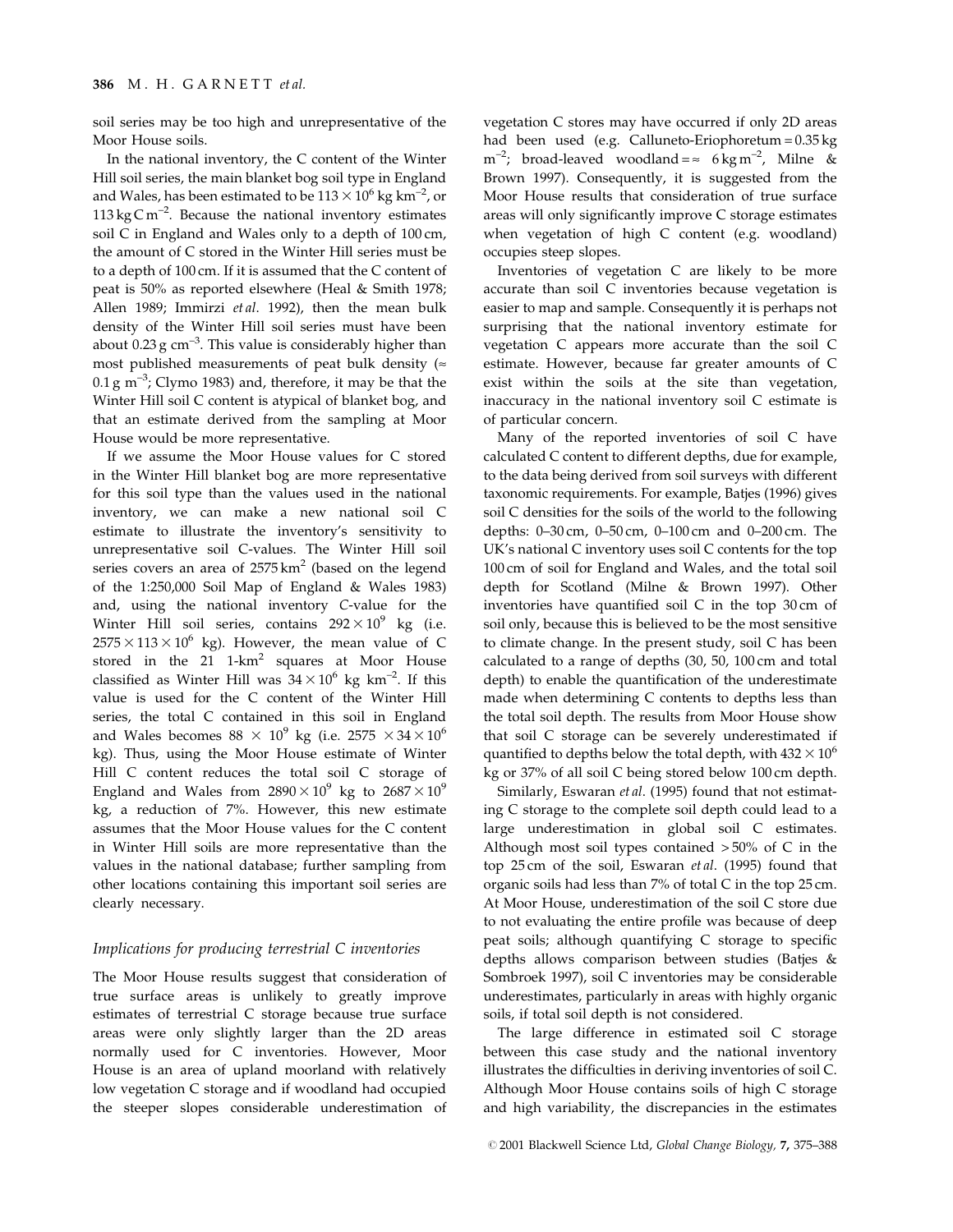soil series may be too high and unrepresentative of the Moor House soils.

In the national inventory, the C content of the Winter Hill soil series, the main blanket bog soil type in England and Wales, has been estimated to be  $113 \times 10^6$  kg km<sup>-2</sup>, or 113 kg C m<sup>-2</sup>. Because the national inventory estimates soil C in England and Wales only to a depth of 100 cm, the amount of C stored in the Winter Hill series must be to a depth of 100 cm. If it is assumed that the C content of peat is 50% as reported elsewhere (Heal & Smith 1978; Allen 1989; Immirzi et al. 1992), then the mean bulk density of the Winter Hill soil series must have been about  $0.23$  g cm<sup>-3</sup>. This value is considerably higher than most published measurements of peat bulk density ( $\approx$  $0.1 \text{ g m}^{-3}$ ; Clymo 1983) and, therefore, it may be that the Winter Hill soil C content is atypical of blanket bog, and that an estimate derived from the sampling at Moor House would be more representative.

If we assume the Moor House values for C stored in the Winter Hill blanket bog are more representative for this soil type than the values used in the national inventory, we can make a new national soil C estimate to illustrate the inventory's sensitivity to unrepresentative soil C-values. The Winter Hill soil series covers an area of  $2575 \text{ km}^2$  (based on the legend of the 1:250,000 Soil Map of England & Wales 1983) and, using the national inventory C-value for the Winter Hill soil series, contains  $292 \times 10^9$  kg (i.e.  $2575 \times 113 \times 10^6$  kg). However, the mean value of C stored in the  $21$  1-km<sup>2</sup> squares at Moor House classified as Winter Hill was  $34 \times 10^6$  kg km<sup>-2</sup>. If this value is used for the C content of the Winter Hill series, the total C contained in this soil in England and Wales becomes  $88 \times 10^9$  kg (i.e. 2575  $\times 34 \times 10^6$ kg). Thus, using the Moor House estimate of Winter Hill C content reduces the total soil C storage of England and Wales from  $2890 \times 10^9$  kg to  $2687 \times 10^9$ kg, a reduction of 7%. However, this new estimate assumes that the Moor House values for the C content in Winter Hill soils are more representative than the values in the national database; further sampling from other locations containing this important soil series are clearly necessary.

# Implications for producing terrestrial C inventories

The Moor House results suggest that consideration of true surface areas is unlikely to greatly improve estimates of terrestrial C storage because true surface areas were only slightly larger than the 2D areas normally used for C inventories. However, Moor House is an area of upland moorland with relatively low vegetation C storage and if woodland had occupied the steeper slopes considerable underestimation of

vegetation C stores may have occurred if only 2D areas had been used (e.g. Calluneto-Eriophoretum = 0.35 kg  $m^{-2}$ ; broad-leaved woodland =  $\approx$  6 kg m<sup>-2</sup>, Milne & Brown 1997). Consequently, it is suggested from the Moor House results that consideration of true surface areas will only significantly improve C storage estimates when vegetation of high C content (e.g. woodland) occupies steep slopes.

Inventories of vegetation C are likely to be more accurate than soil C inventories because vegetation is easier to map and sample. Consequently it is perhaps not surprising that the national inventory estimate for vegetation C appears more accurate than the soil C estimate. However, because far greater amounts of C exist within the soils at the site than vegetation, inaccuracy in the national inventory soil C estimate is of particular concern.

Many of the reported inventories of soil C have calculated C content to different depths, due for example, to the data being derived from soil surveys with different taxonomic requirements. For example, Batjes (1996) gives soil C densities for the soils of the world to the following depths: 0-30 cm, 0-50 cm, 0-100 cm and 0-200 cm. The UK's national C inventory uses soil C contents for the top 100 cm of soil for England and Wales, and the total soil depth for Scotland (Milne & Brown 1997). Other inventories have quantified soil  $C$  in the top 30 cm of soil only, because this is believed to be the most sensitive to climate change. In the present study, soil C has been calculated to a range of depths (30, 50, 100 cm and total depth) to enable the quantification of the underestimate made when determining C contents to depths less than the total soil depth. The results from Moor House show that soil C storage can be severely underestimated if quantified to depths below the total depth, with  $432 \times 10^6$ kg or 37% of all soil C being stored below 100 cm depth.

Similarly, Eswaran et al. (1995) found that not estimating C storage to the complete soil depth could lead to a large underestimation in global soil C estimates. Although most soil types contained > 50% of C in the top 25 cm of the soil, Eswaran et al. (1995) found that organic soils had less than 7% of total C in the top 25 cm. At Moor House, underestimation of the soil C store due to not evaluating the entire profile was because of deep peat soils; although quantifying  $C$  storage to specific depths allows comparison between studies (Batjes & Sombroek 1997), soil C inventories may be considerable underestimates, particularly in areas with highly organic soils, if total soil depth is not considered.

The large difference in estimated soil C storage between this case study and the national inventory illustrates the difficulties in deriving inventories of soil C. Although Moor House contains soils of high C storage and high variability, the discrepancies in the estimates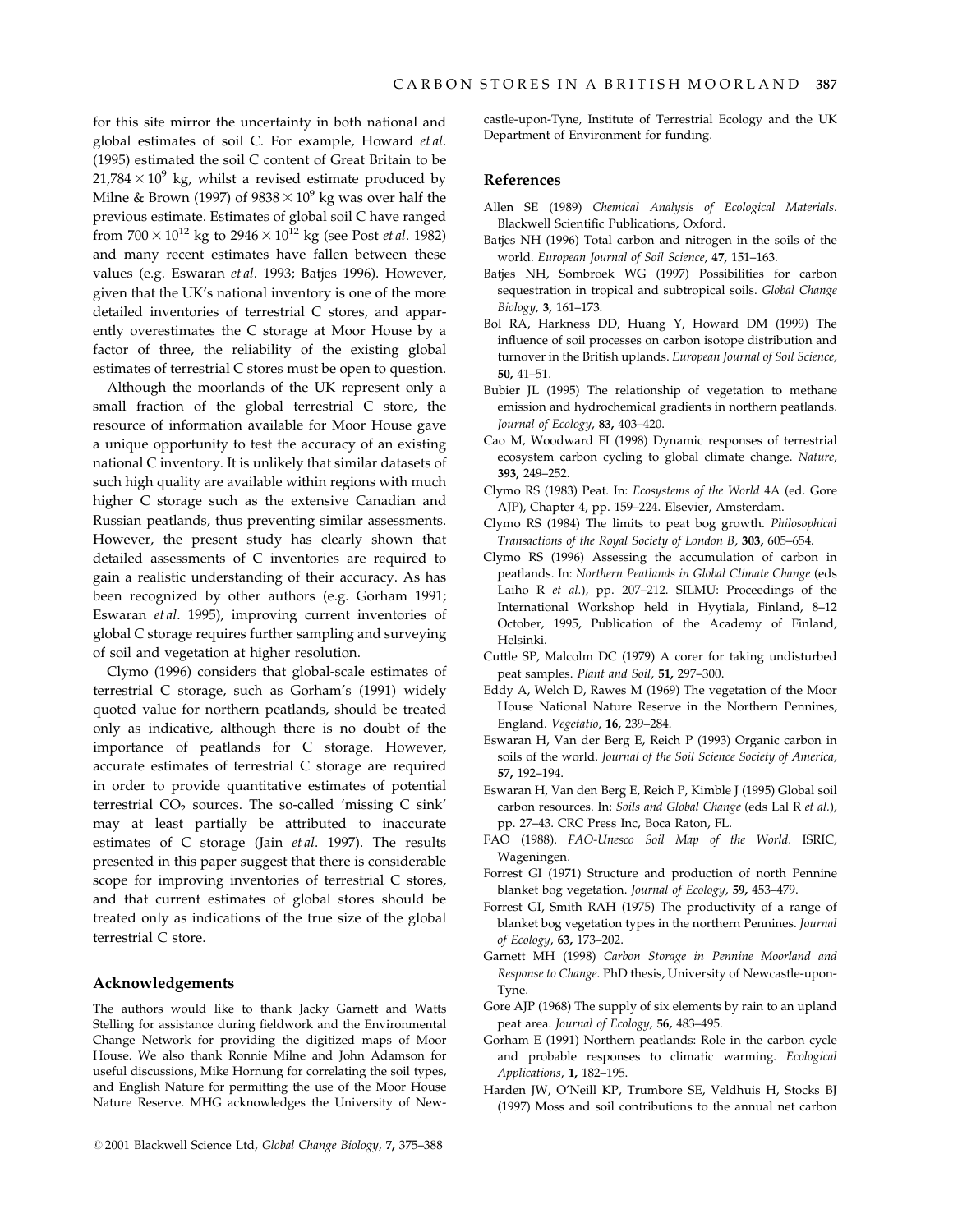for this site mirror the uncertainty in both national and global estimates of soil C. For example, Howard et al. (1995) estimated the soil C content of Great Britain to be  $21,784 \times 10^9$  kg, whilst a revised estimate produced by Milne & Brown (1997) of  $9838 \times 10^9$  kg was over half the previous estimate. Estimates of global soil C have ranged from  $700 \times 10^{12}$  kg to  $2946 \times 10^{12}$  kg (see Post *et al.* 1982) and many recent estimates have fallen between these values (e.g. Eswaran et al. 1993; Batjes 1996). However, given that the UK's national inventory is one of the more detailed inventories of terrestrial C stores, and apparently overestimates the C storage at Moor House by a factor of three, the reliability of the existing global estimates of terrestrial C stores must be open to question.

Although the moorlands of the UK represent only a small fraction of the global terrestrial C store, the resource of information available for Moor House gave a unique opportunity to test the accuracy of an existing national C inventory. It is unlikely that similar datasets of such high quality are available within regions with much higher C storage such as the extensive Canadian and Russian peatlands, thus preventing similar assessments. However, the present study has clearly shown that detailed assessments of C inventories are required to gain a realistic understanding of their accuracy. As has been recognized by other authors (e.g. Gorham 1991; Eswaran et al. 1995), improving current inventories of global C storage requires further sampling and surveying of soil and vegetation at higher resolution.

Clymo (1996) considers that global-scale estimates of terrestrial C storage, such as Gorham's (1991) widely quoted value for northern peatlands, should be treated only as indicative, although there is no doubt of the importance of peatlands for C storage. However, accurate estimates of terrestrial C storage are required in order to provide quantitative estimates of potential terrestrial  $CO<sub>2</sub>$  sources. The so-called 'missing C sink' may at least partially be attributed to inaccurate estimates of C storage (Jain et al. 1997). The results presented in this paper suggest that there is considerable scope for improving inventories of terrestrial C stores, and that current estimates of global stores should be treated only as indications of the true size of the global terrestrial C store.

# Acknowledgements

The authors would like to thank Jacky Garnett and Watts Stelling for assistance during fieldwork and the Environmental Change Network for providing the digitized maps of Moor House. We also thank Ronnie Milne and John Adamson for useful discussions, Mike Hornung for correlating the soil types, and English Nature for permitting the use of the Moor House Nature Reserve. MHG acknowledges the University of Newcastle-upon-Tyne, Institute of Terrestrial Ecology and the UK Department of Environment for funding.

## References

- Allen SE (1989) Chemical Analysis of Ecological Materials. Blackwell Scientific Publications, Oxford.
- Batjes NH (1996) Total carbon and nitrogen in the soils of the world. European Journal of Soil Science, 47, 151-163.
- Batjes NH, Sombroek WG (1997) Possibilities for carbon sequestration in tropical and subtropical soils. Global Change Biology, 3, 161-173.
- Bol RA, Harkness DD, Huang Y, Howard DM (1999) The influence of soil processes on carbon isotope distribution and turnover in the British uplands. European Journal of Soil Science, 50, 41-51.
- Bubier JL (1995) The relationship of vegetation to methane emission and hydrochemical gradients in northern peatlands. Journal of Ecology, 83, 403-420.
- Cao M, Woodward FI (1998) Dynamic responses of terrestrial ecosystem carbon cycling to global climate change. Nature, 393, 249-252.
- Clymo RS (1983) Peat. In: Ecosystems of the World 4A (ed. Gore AJP), Chapter 4, pp. 159-224. Elsevier, Amsterdam.
- Clymo RS (1984) The limits to peat bog growth. Philosophical Transactions of the Royal Society of London B, 303, 605-654.
- Clymo RS (1996) Assessing the accumulation of carbon in peatlands. In: Northern Peatlands in Global Climate Change (eds Laiho R et al.), pp. 207-212. SILMU: Proceedings of the International Workshop held in Hyytiala, Finland, 8-12 October, 1995, Publication of the Academy of Finland, Helsinki.
- Cuttle SP, Malcolm DC (1979) A corer for taking undisturbed peat samples. Plant and Soil, 51, 297-300.
- Eddy A, Welch D, Rawes M (1969) The vegetation of the Moor House National Nature Reserve in the Northern Pennines, England. Vegetatio, 16, 239-284.
- Eswaran H, Van der Berg E, Reich P (1993) Organic carbon in soils of the world. Journal of the Soil Science Society of America, 57, 192±194.
- Eswaran H, Van den Berg E, Reich P, Kimble J (1995) Global soil carbon resources. In: Soils and Global Change (eds Lal R et al.), pp. 27-43. CRC Press Inc, Boca Raton, FL.
- FAO (1988). FAO-Unesco Soil Map of the World. ISRIC, Wageningen.
- Forrest GI (1971) Structure and production of north Pennine blanket bog vegetation. Journal of Ecology, 59, 453-479.
- Forrest GI, Smith RAH (1975) The productivity of a range of blanket bog vegetation types in the northern Pennines. Journal of Ecology, 63, 173-202.
- Garnett MH (1998) Carbon Storage in Pennine Moorland and Response to Change. PhD thesis, University of Newcastle-upon-Tyne.
- Gore AJP (1968) The supply of six elements by rain to an upland peat area. Journal of Ecology, 56, 483-495.
- Gorham E (1991) Northern peatlands: Role in the carbon cycle and probable responses to climatic warming. Ecological Applications, **1,** 182-195.
- Harden JW, O'Neill KP, Trumbore SE, Veldhuis H, Stocks BJ (1997) Moss and soil contributions to the annual net carbon